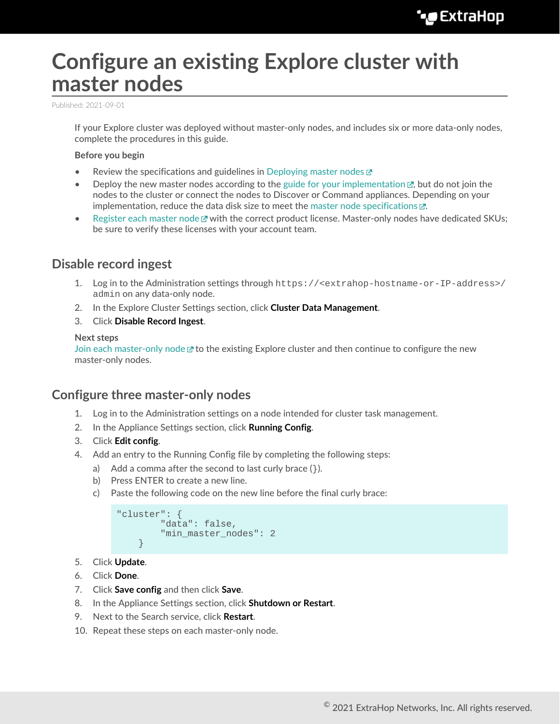# **Configure an existing Explore cluster with master nodes**

Published: 2021-09-01

If your Explore cluster was deployed without master-only nodes, and includes six or more data-only nodes, complete the procedures in this guide.

#### **Before you begin**

- Review the specifications and guidelines in [Deploying master nodes](https://docs.extrahop.com/8.3/deploy-exa-master)  $\mathbb F$
- Deploy the new master nodes according to the guide for your implementation  $\mathbb{E}$ , but do not join the nodes to the cluster or connect the nodes to Discover or Command appliances. Depending on your implementation, reduce the data disk size to meet the [master node specifications](https://docs.extrahop.com/8.3/deploy-exa-master/#master-node-specifications) ...
- [Register each master node](https://docs.extrahop.com/8.3/register-appliance)  $\mathbb F$  with the correct product license. Master-only nodes have dedicated SKUs; be sure to verify these licenses with your account team.

## **Disable record ingest**

- 1. Log in to the Administration settings through https://<extrahop-hostname-or-IP-address>/ admin on any data-only node.
- 2. In the Explore Cluster Settings section, click **Cluster Data Management**.
- 3. Click **Disable Record Ingest**.

#### **Next steps**

[Join each master-only node](https://docs.extrahop.com/8.3/deploy-exa/#create-an-explore-cluster)  $\mathbb Z$  to the existing Explore cluster and then continue to configure the new master-only nodes.

### **Configure three master-only nodes**

- 1. Log in to the Administration settings on a node intended for cluster task management.
- 2. In the Appliance Settings section, click **Running Config**.
- 3. Click **Edit config**.
- 4. Add an entry to the Running Config file by completing the following steps:
	- a) Add a comma after the second to last curly brace  $($ }).
	- b) Press ENTER to create a new line.
	- c) Paste the following code on the new line before the final curly brace:

```
"cluster": {
       "data": false,
      "min master nodes": 2
}
```
- 5. Click **Update**.
- 6. Click **Done**.
- 7. Click **Save config** and then click **Save**.
- 8. In the Appliance Settings section, click **Shutdown or Restart**.
- 9. Next to the Search service, click **Restart**.
- 10. Repeat these steps on each master-only node.